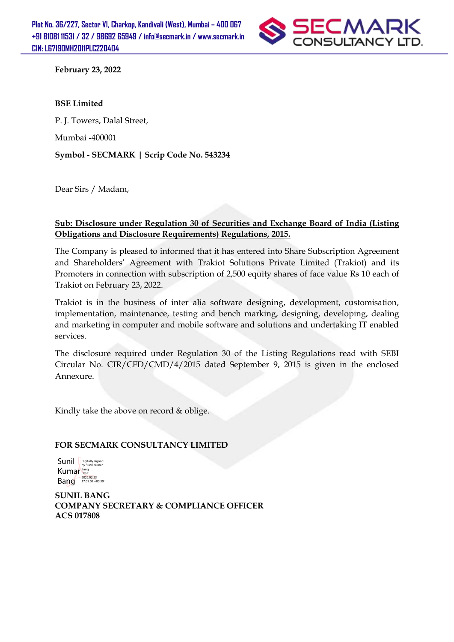

**February 23, 2022**

#### **BSE Limited**

P. J. Towers, Dalal Street,

Mumbai -400001

**Symbol - SECMARK | Scrip Code No. 543234**

Dear Sirs / Madam,

#### **Sub: Disclosure under Regulation 30 of Securities and Exchange Board of India (Listing Obligations and Disclosure Requirements) Regulations, 2015.**

The Company is pleased to informed that it has entered into Share Subscription Agreement and Shareholders' Agreement with Trakiot Solutions Private Limited (Trakiot) and its Promoters in connection with subscription of 2,500 equity shares of face value Rs 10 each of Trakiot on February 23, 2022.

Trakiot is in the business of inter alia software designing, development, customisation, implementation, maintenance, testing and bench marking, designing, developing, dealing and marketing in computer and mobile software and solutions and undertaking IT enabled services.

The disclosure required under Regulation 30 of the Listing Regulations read with SEBI Circular No. CIR/CFD/CMD/4/2015 dated September 9, 2015 is given in the enclosed Annexure.

Kindly take the above on record & oblige.

#### **FOR SECMARK CONSULTANCY LIMITED**

Sunil **Digitally signed** Kumar Bang Bang Date: 2022.02.23 17:09:09 +05'30'

**SUNIL BANG COMPANY SECRETARY & COMPLIANCE OFFICER ACS 017808**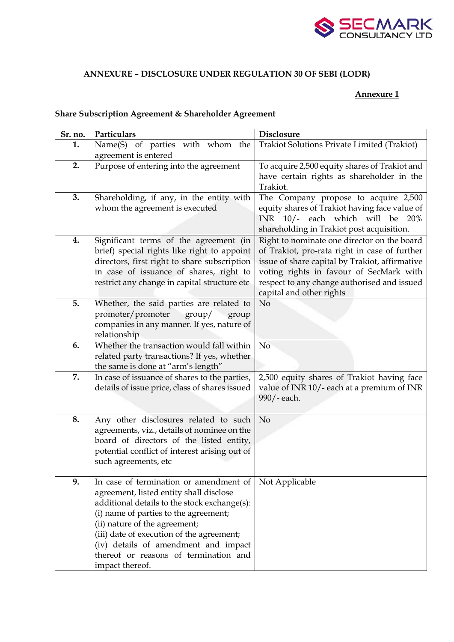

## **ANNEXURE – DISCLOSURE UNDER REGULATION 30 OF SEBI (LODR)**

### **Annexure 1**

## **Share Subscription Agreement & Shareholder Agreement**

| Sr. no. | Particulars                                                                          | <b>Disclosure</b>                                                                      |
|---------|--------------------------------------------------------------------------------------|----------------------------------------------------------------------------------------|
| 1.      | Name(S) of parties with whom the                                                     | Trakiot Solutions Private Limited (Trakiot)                                            |
|         | agreement is entered                                                                 |                                                                                        |
| 2.      | Purpose of entering into the agreement                                               | To acquire 2,500 equity shares of Trakiot and                                          |
|         |                                                                                      | have certain rights as shareholder in the                                              |
|         |                                                                                      | Trakiot.                                                                               |
| 3.      | Shareholding, if any, in the entity with                                             | The Company propose to acquire 2,500                                                   |
|         | whom the agreement is executed                                                       | equity shares of Trakiot having face value of                                          |
|         |                                                                                      | INR 10/- each which will be 20%                                                        |
|         |                                                                                      | shareholding in Trakiot post acquisition.                                              |
| 4.      | Significant terms of the agreement (in                                               | Right to nominate one director on the board                                            |
|         | brief) special rights like right to appoint                                          | of Trakiot, pro-rata right in case of further                                          |
|         | directors, first right to share subscription                                         | issue of share capital by Trakiot, affirmative                                         |
|         | in case of issuance of shares, right to                                              | voting rights in favour of SecMark with<br>respect to any change authorised and issued |
|         | restrict any change in capital structure etc                                         | capital and other rights                                                               |
| 5.      | Whether, the said parties are related to                                             | N <sub>o</sub>                                                                         |
|         | promoter/promoter<br>$\gamma$<br>group                                               |                                                                                        |
|         | companies in any manner. If yes, nature of                                           |                                                                                        |
|         | relationship                                                                         |                                                                                        |
| 6.      | Whether the transaction would fall within                                            | No                                                                                     |
|         | related party transactions? If yes, whether                                          |                                                                                        |
|         | the same is done at "arm's length"                                                   |                                                                                        |
| 7.      | In case of issuance of shares to the parties,                                        | 2,500 equity shares of Trakiot having face                                             |
|         | details of issue price, class of shares issued                                       | value of INR 10/- each at a premium of INR                                             |
|         |                                                                                      | 990/-each.                                                                             |
| 8.      |                                                                                      | N <sub>o</sub>                                                                         |
|         | Any other disclosures related to such<br>agreements, viz., details of nominee on the |                                                                                        |
|         | board of directors of the listed entity,                                             |                                                                                        |
|         | potential conflict of interest arising out of                                        |                                                                                        |
|         | such agreements, etc                                                                 |                                                                                        |
|         |                                                                                      |                                                                                        |
| 9.      | In case of termination or amendment of                                               | Not Applicable                                                                         |
|         | agreement, listed entity shall disclose                                              |                                                                                        |
|         | additional details to the stock exchange(s):                                         |                                                                                        |
|         | (i) name of parties to the agreement;                                                |                                                                                        |
|         | (ii) nature of the agreement;                                                        |                                                                                        |
|         | (iii) date of execution of the agreement;                                            |                                                                                        |
|         | (iv) details of amendment and impact<br>thereof or reasons of termination and        |                                                                                        |
|         | impact thereof.                                                                      |                                                                                        |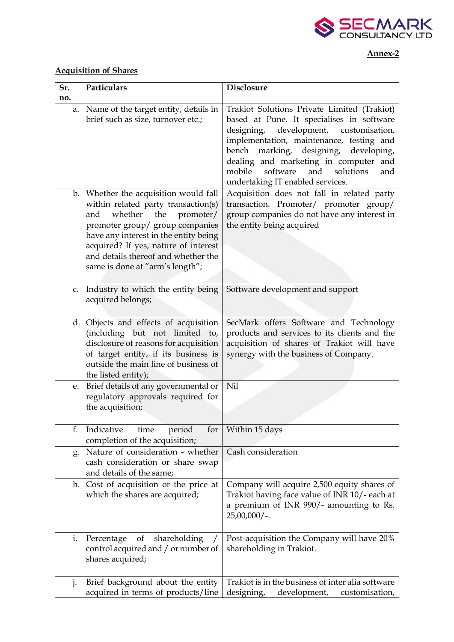

### **Annex-2**

# **Acquisition of Shares**

| Sr. | Particulars                                                                                                                                                                                                                                                                                                   | <b>Disclosure</b>                                                                                                                                                                                                                                                                                                                                           |
|-----|---------------------------------------------------------------------------------------------------------------------------------------------------------------------------------------------------------------------------------------------------------------------------------------------------------------|-------------------------------------------------------------------------------------------------------------------------------------------------------------------------------------------------------------------------------------------------------------------------------------------------------------------------------------------------------------|
| no. |                                                                                                                                                                                                                                                                                                               |                                                                                                                                                                                                                                                                                                                                                             |
| a.  | Name of the target entity, details in<br>brief such as size, turnover etc.;                                                                                                                                                                                                                                   | Trakiot Solutions Private Limited (Trakiot)<br>based at Pune. It specialises in software<br>designing, development, customisation,<br>implementation, maintenance, testing and<br>marking, designing,<br>bench<br>developing,<br>dealing and marketing in computer and<br>software<br>and<br>solutions<br>mobile<br>and<br>undertaking IT enabled services. |
| b   | Whether the acquisition would fall<br>within related party transaction(s)<br>whether<br>the<br>promoter/<br>and<br>promoter group/ group companies<br>have any interest in the entity being<br>acquired? If yes, nature of interest<br>and details thereof and whether the<br>same is done at "arm's length"; | Acquisition does not fall in related party<br>transaction. Promoter/ promoter group/<br>group companies do not have any interest in<br>the entity being acquired                                                                                                                                                                                            |
| c.  | Industry to which the entity being<br>acquired belongs;                                                                                                                                                                                                                                                       | Software development and support                                                                                                                                                                                                                                                                                                                            |
| d.  | Objects and effects of acquisition<br>(including but not limited to,<br>disclosure of reasons for acquisition<br>of target entity, if its business is<br>outside the main line of business of<br>the listed entity);                                                                                          | SecMark offers Software and Technology<br>products and services to its clients and the<br>acquisition of shares of Trakiot will have<br>synergy with the business of Company.                                                                                                                                                                               |
| e.  | Brief details of any governmental or<br>regulatory approvals required for<br>the acquisition;                                                                                                                                                                                                                 | Nil                                                                                                                                                                                                                                                                                                                                                         |
| f.  | Indicative<br>for<br>time<br>period<br>completion of the acquisition;                                                                                                                                                                                                                                         | Within 15 days                                                                                                                                                                                                                                                                                                                                              |
| g.  | Nature of consideration - whether<br>cash consideration or share swap<br>and details of the same;                                                                                                                                                                                                             | Cash consideration                                                                                                                                                                                                                                                                                                                                          |
| h.  | Cost of acquisition or the price at<br>which the shares are acquired;                                                                                                                                                                                                                                         | Company will acquire 2,500 equity shares of<br>Trakiot having face value of INR 10/- each at<br>a premium of INR 990/- amounting to Rs.<br>$25,00,000/$ -.                                                                                                                                                                                                  |
| i.  | shareholding<br>of<br>Percentage<br>control acquired and / or number of<br>shares acquired;                                                                                                                                                                                                                   | Post-acquisition the Company will have 20%<br>shareholding in Trakiot.                                                                                                                                                                                                                                                                                      |
| j.  | Brief background about the entity<br>acquired in terms of products/line                                                                                                                                                                                                                                       | Trakiot is in the business of inter alia software<br>designing,<br>development,<br>customisation,                                                                                                                                                                                                                                                           |